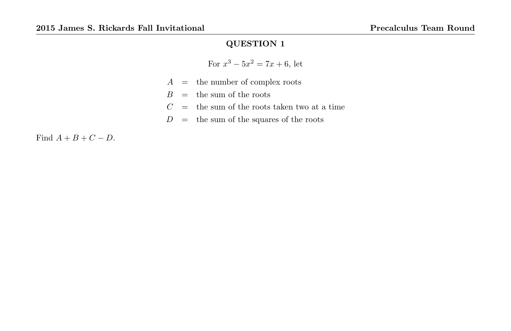For 
$$
x^3 - 5x^2 = 7x + 6
$$
, let

- $A =$  the number of complex roots
- $B =$  the sum of the roots
- $C =$  the sum of the roots taken two at a time
- $D\quad =\quad$  the sum of the squares of the roots

Find  $A + B + C - D$ .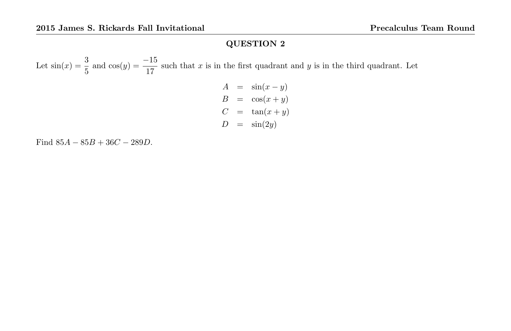Let  $sin(x) = \frac{3}{5}$  and  $cos(y) = \frac{-15}{17}$  such that x is in the first quadrant and y is in the third quadrant. Let

$$
A = \sin(x - y)
$$
  
\n
$$
B = \cos(x + y)
$$
  
\n
$$
C = \tan(x + y)
$$
  
\n
$$
D = \sin(2y)
$$

Find  $85A - 85B + 36C - 289D$ .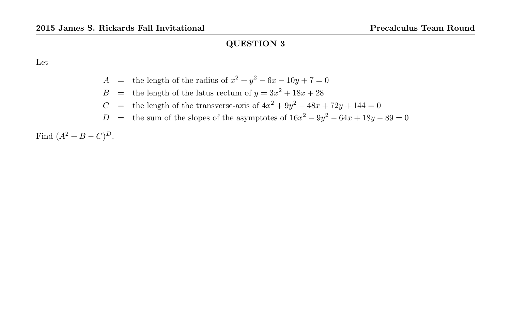Let

- A = the length of the radius of  $x^2 + y^2 6x 10y + 7 = 0$
- $B =$  the length of the latus rectum of  $y = 3x^2 + 18x + 28$
- C = the length of the transverse-axis of  $4x^2 + 9y^2 48x + 72y + 144 = 0$
- D = the sum of the slopes of the asymptotes of  $16x^2 9y^2 64x + 18y 89 = 0$

Find  $(A^2 + B - C)^D$ .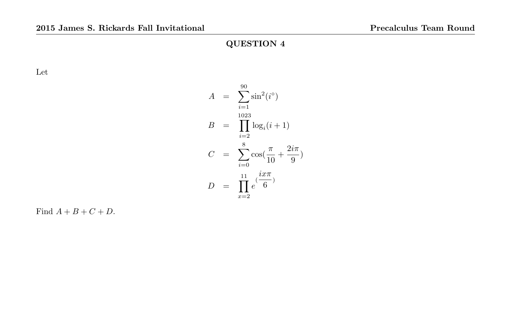Let

$$
A = \sum_{i=1}^{90} \sin^2(i^{\circ})
$$
  
\n
$$
B = \prod_{i=2}^{1023} \log_i(i+1)
$$
  
\n
$$
C = \sum_{i=0}^{8} \cos\left(\frac{\pi}{10} + \frac{2i\pi}{9}\right)
$$
  
\n
$$
D = \prod_{x=2}^{11} e^{\left(\frac{ix\pi}{6}\right)}
$$

Find  $A + B + C + D$ .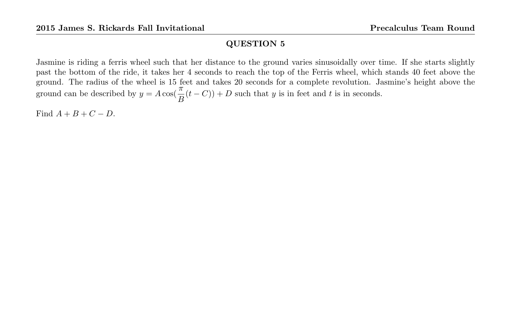Jasmine is riding a ferris wheel such that her distance to the ground varies sinusoidally over time. If she starts slightly past the bottom of the ride, it takes her 4 seconds to reach the top of the Ferris wheel, which stands 40 feet above the ground. The radius of the wheel is 15 feet and takes 20 seconds for a complete revolution. Jasmine's height above the ground can be described by  $y = A \cos(\frac{\pi}{B}(t-C)) + D$  such that y is in feet and t is in seconds.

Find  $A + B + C - D$ .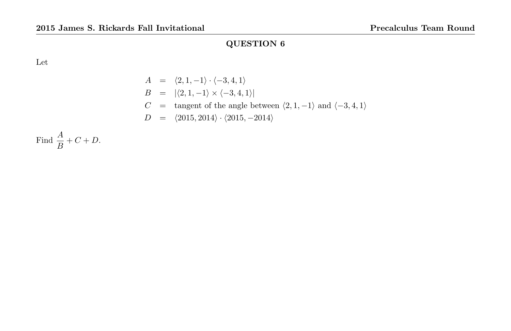Let

$$
A = \langle 2, 1, -1 \rangle \cdot \langle -3, 4, 1 \rangle
$$
  
\n
$$
B = |\langle 2, 1, -1 \rangle \times \langle -3, 4, 1 \rangle|
$$
  
\n
$$
C = \text{tangent of the angle between } \langle 2, 1, -1 \rangle \text{ and } \langle -3, 4, 1 \rangle
$$
  
\n
$$
D = \langle 2015, 2014 \rangle \cdot \langle 2015, -2014 \rangle
$$

Find  $\frac{A}{B} + C + D$ .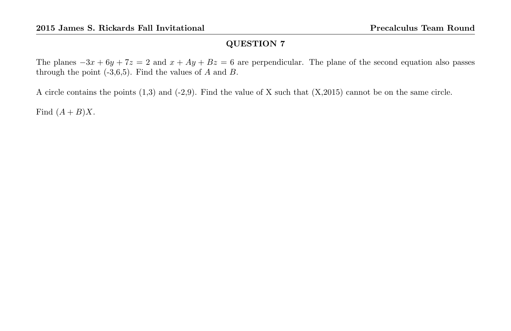The planes  $-3x + 6y + 7z = 2$  and  $x + Ay + Bz = 6$  are perpendicular. The plane of the second equation also passes through the point  $(-3,6,5)$ . Find the values of A and B.

A circle contains the points (1,3) and (-2,9). Find the value of X such that (X,2015) cannot be on the same circle.

Find  $(A + B)X$ .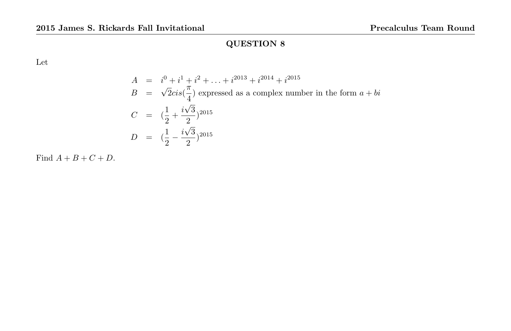Let

$$
A = i^{0} + i^{1} + i^{2} + ... + i^{2013} + i^{2014} + i^{2015}
$$
  
\n
$$
B = \sqrt{2}cis(\frac{\pi}{4})
$$
 expressed as a complex number in the form  $a + bi$   
\n
$$
C = (\frac{1}{2} + \frac{i\sqrt{3}}{2})^{2015}
$$
  
\n
$$
D = (\frac{1}{2} - \frac{i\sqrt{3}}{2})^{2015}
$$

Find  $A + B + C + D$ .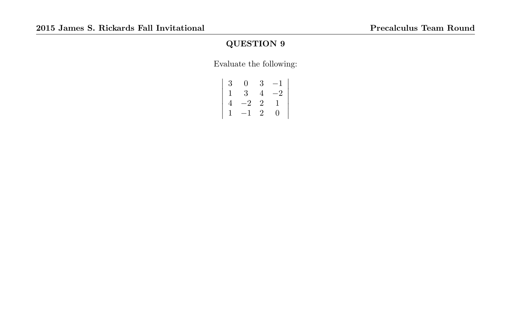Evaluate the following:

| 3 | 0               | 3              | $-1$      |
|---|-----------------|----------------|-----------|
|   | $3\phantom{.0}$ | 4              | $-2^{-1}$ |
| 4 | $-2$            | $\overline{2}$ | 1         |
| 1 | $-1$            | 2              | 0         |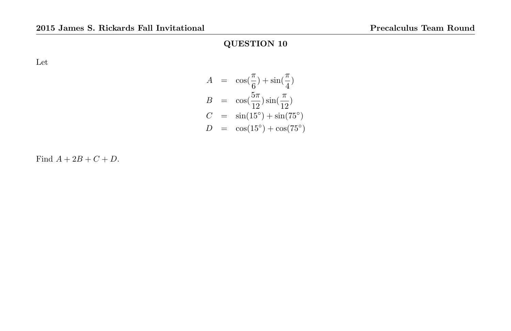Let

$$
A = \cos(\frac{\pi}{6}) + \sin(\frac{\pi}{4})
$$
  
\n
$$
B = \cos(\frac{5\pi}{12})\sin(\frac{\pi}{12})
$$
  
\n
$$
C = \sin(15^{\circ}) + \sin(75^{\circ})
$$
  
\n
$$
D = \cos(15^{\circ}) + \cos(75^{\circ})
$$

Find  $A + 2B + C + D$ .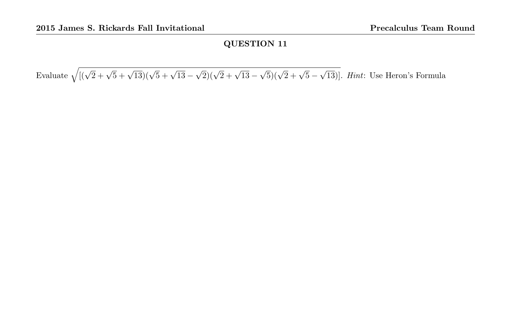Evaluate  $\sqrt{((\sqrt{2} + \sqrt{5} + \sqrt{13})(\sqrt{5} + \sqrt{13} \sqrt{2}$  $(\sqrt{2} + \sqrt{13} \sqrt{5}$  $(\sqrt{2} + \sqrt{5} -$ √ 13)]. Hint: Use Heron's Formula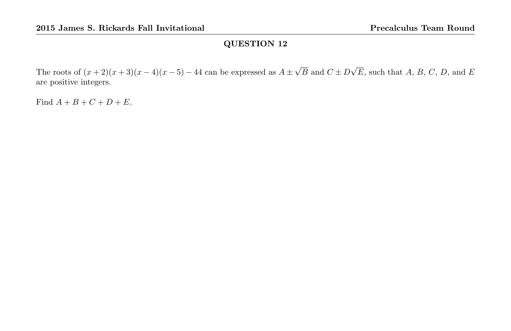The roots of  $(x+2)(x+3)(x-4)(x-5) - 44$  can be expressed as  $A \pm$ √  $B$  and  $C \pm D$ √  $E$ , such that  $A, B, C, D$ , and  $E$ are positive integers.

Find  $A + B + C + D + E$ .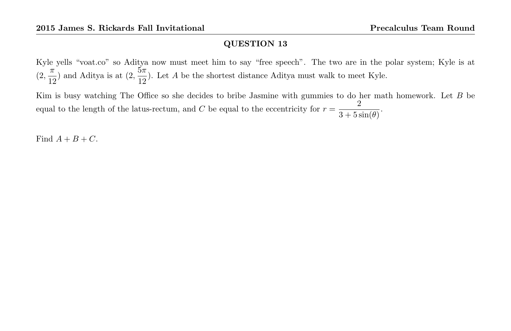Kyle yells "voat.co" so Aditya now must meet him to say "free speech". The two are in the polar system; Kyle is at  $(2, \frac{\pi}{16})$  $\frac{\pi}{12}$ ) and Aditya is at  $(2, \frac{5\pi}{12})$  $\frac{3\pi}{12}$ ). Let A be the shortest distance Aditya must walk to meet Kyle.

Kim is busy watching The Office so she decides to bribe Jasmine with gummies to do her math homework. Let B be equal to the length of the latus-rectum, and C be equal to the eccentricity for  $r = \frac{2}{2}$  $\frac{2}{3 + 5\sin(\theta)}$ .

Find  $A + B + C$ .